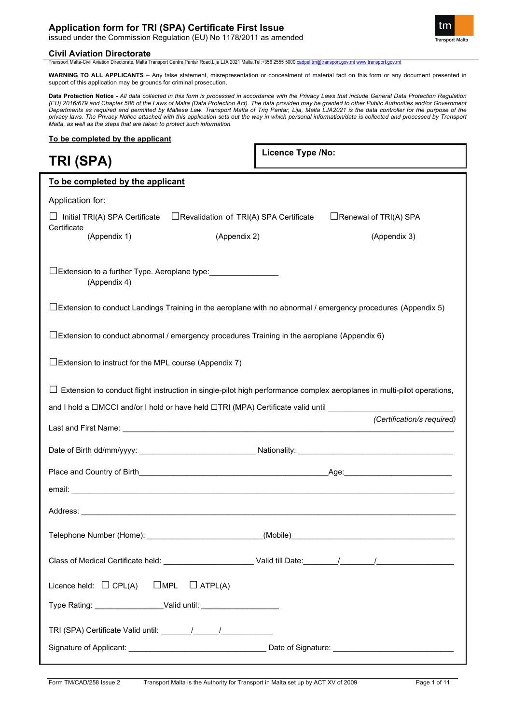### **Application form for TRI (SPA) Certificate First Issue**

issued under the Commission Regulation (EU) No 1178/2011 as amended

### **Civil Aviation Directorate**

**Transport Malta** 

Transport Malta-Civil Aviation Directorate, Malta Transport Centre,Pantar Road,Lija LJA 2021 Malta.Tel:+356 2555 5000 cadpel.tm@tran

**WARNING TO ALL APPLICANTS** – Any false statement, misrepresentation or concealment of material fact on this form or any document presented in support of this application may be grounds for criminal prosecution.

**Data Protection Notice -** *All data collected in this form is processed in accordance with the Privacy Laws that include General Data Protection Regulation (EU) 2016/679 and Chapter 586 of the Laws of Malta (Data Protection Act). The data provided may be granted to other Public Authorities and/or Government Departments as required and permitted by Maltese Law. Transport Malta of Triq Pantar, Lija, Malta LJA2021 is the data controller for the purpose of the privacy laws. The Privacy Notice attached with this application sets out the way in which personal information/data is collected and processed by Transport Malta, as well as the steps that are taken to protect such information.*

### **To be completed by the applicant**

**TRI (SPA)**

**Licence Type /No:** 

| To be completed by the applicant                                                 |                                                                                                                               |                              |
|----------------------------------------------------------------------------------|-------------------------------------------------------------------------------------------------------------------------------|------------------------------|
| Application for:                                                                 |                                                                                                                               |                              |
| $\Box$ Initial TRI(A) SPA Certificate                                            | $\Box$ Revalidation of TRI(A) SPA Certificate                                                                                 | $\Box$ Renewal of TRI(A) SPA |
| Certificate<br>(Appendix 1)                                                      | (Appendix 2)                                                                                                                  | (Appendix 3)                 |
|                                                                                  |                                                                                                                               |                              |
| □Extension to a further Type. Aeroplane type: _________________<br>(Appendix 4)  |                                                                                                                               |                              |
|                                                                                  | $\Box$ Extension to conduct Landings Training in the aeroplane with no abnormal / emergency procedures (Appendix 5)           |                              |
|                                                                                  | $\Box$ Extension to conduct abnormal / emergency procedures Training in the aeroplane (Appendix 6)                            |                              |
| $\square$ Extension to instruct for the MPL course (Appendix 7)                  |                                                                                                                               |                              |
|                                                                                  | $\Box$ Extension to conduct flight instruction in single-pilot high performance complex aeroplanes in multi-pilot operations, |                              |
|                                                                                  | and I hold a □MCCI and/or I hold or have held □TRI (MPA) Certificate valid until __________                                   |                              |
|                                                                                  |                                                                                                                               |                              |
|                                                                                  |                                                                                                                               | (Certification/s required)   |
|                                                                                  |                                                                                                                               |                              |
|                                                                                  |                                                                                                                               |                              |
|                                                                                  |                                                                                                                               |                              |
|                                                                                  |                                                                                                                               |                              |
|                                                                                  |                                                                                                                               |                              |
|                                                                                  |                                                                                                                               |                              |
| Licence held: $\Box$ CPL(A)<br>$\square$ MPL                                     | $\Box$ ATPL(A)                                                                                                                |                              |
| Type Rating: ____________________Valid until: __________________________________ |                                                                                                                               |                              |
|                                                                                  |                                                                                                                               |                              |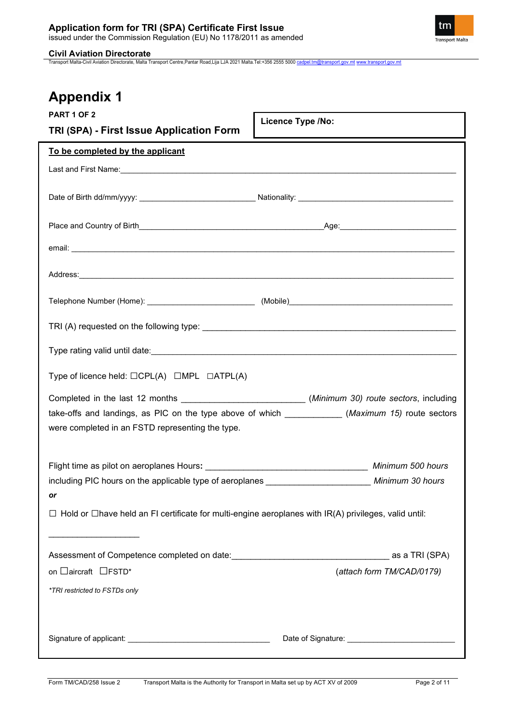

Transport Malta-Civil Aviation Directorate, Malta Transport Centre,Pantar Road,Lija LJA 2021 Malta.Tel:+356 2555 5000 [cadpel.tm@transport.gov.mt](mailto:cadpel.tm@transport.gov.mt) [www.transport.gov.mt](http://www.transport.gov.mt/)

| <b>PART 1 OF 2</b>                                                                                                | <b>Licence Type /No:</b>                                                                                                                                                                              |
|-------------------------------------------------------------------------------------------------------------------|-------------------------------------------------------------------------------------------------------------------------------------------------------------------------------------------------------|
| TRI (SPA) - First Issue Application Form                                                                          |                                                                                                                                                                                                       |
| To be completed by the applicant                                                                                  |                                                                                                                                                                                                       |
|                                                                                                                   |                                                                                                                                                                                                       |
|                                                                                                                   |                                                                                                                                                                                                       |
|                                                                                                                   |                                                                                                                                                                                                       |
|                                                                                                                   |                                                                                                                                                                                                       |
|                                                                                                                   |                                                                                                                                                                                                       |
|                                                                                                                   |                                                                                                                                                                                                       |
|                                                                                                                   |                                                                                                                                                                                                       |
|                                                                                                                   |                                                                                                                                                                                                       |
| Type of licence held: $\Box$ CPL(A) $\Box$ MPL $\Box$ ATPL(A)                                                     |                                                                                                                                                                                                       |
| were completed in an FSTD representing the type.                                                                  | Completed in the last 12 months ___________________________(Minimum 30) route sectors, including<br>take-offs and landings, as PIC on the type above of which ____________ (Maximum 15) route sectors |
| Flight time as pilot on aeroplanes Hours: Minimum 500 hours                                                       |                                                                                                                                                                                                       |
| including PIC hours on the applicable type of aeroplanes ________________________ Minimum 30 hours                |                                                                                                                                                                                                       |
| $\Box$ Hold or $\Box$ have held an FI certificate for multi-engine aeroplanes with IR(A) privileges, valid until: |                                                                                                                                                                                                       |
|                                                                                                                   |                                                                                                                                                                                                       |
| on □ aircraft □ FSTD*                                                                                             | (attach form TM/CAD/0179)                                                                                                                                                                             |
| *TRI restricted to FSTDs only                                                                                     |                                                                                                                                                                                                       |
|                                                                                                                   |                                                                                                                                                                                                       |
|                                                                                                                   |                                                                                                                                                                                                       |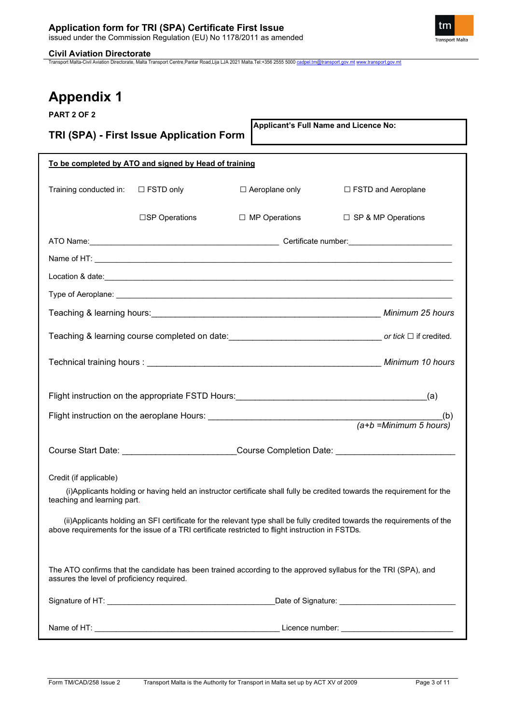

Transport Malta-Civil Aviation Directorate, Malta Transport Centre,Pantar Road,Lija LJA 2021 Malta.Tel:+356 2555 5000 [cadpel.tm@transport.gov.mt](mailto:cadpel.tm@transport.gov.mt) [www.transport.gov.mt](http://www.transport.gov.mt/)

| PART 2 OF 2                                |                                                       |                                                                                                  |                                                                                                                          |
|--------------------------------------------|-------------------------------------------------------|--------------------------------------------------------------------------------------------------|--------------------------------------------------------------------------------------------------------------------------|
|                                            | TRI (SPA) - First Issue Application Form              |                                                                                                  | Applicant's Full Name and Licence No:                                                                                    |
|                                            |                                                       |                                                                                                  |                                                                                                                          |
|                                            | To be completed by ATO and signed by Head of training |                                                                                                  |                                                                                                                          |
|                                            |                                                       |                                                                                                  |                                                                                                                          |
| Training conducted in:                     | $\Box$ FSTD only                                      | $\Box$ Aeroplane only                                                                            | □ FSTD and Aeroplane                                                                                                     |
|                                            | □SP Operations                                        | $\Box$ MP Operations                                                                             | □ SP & MP Operations                                                                                                     |
|                                            |                                                       |                                                                                                  |                                                                                                                          |
|                                            |                                                       |                                                                                                  |                                                                                                                          |
|                                            |                                                       |                                                                                                  |                                                                                                                          |
|                                            |                                                       |                                                                                                  |                                                                                                                          |
|                                            |                                                       |                                                                                                  |                                                                                                                          |
|                                            |                                                       |                                                                                                  |                                                                                                                          |
|                                            |                                                       |                                                                                                  |                                                                                                                          |
|                                            |                                                       |                                                                                                  |                                                                                                                          |
|                                            |                                                       |                                                                                                  | (b)                                                                                                                      |
|                                            |                                                       |                                                                                                  | (b)<br>(a+b =Minimum 5 hours)                                                                                            |
|                                            |                                                       |                                                                                                  | Course Start Date: __________________________Course Completion Date: ______________________________                      |
| Credit (if applicable)                     |                                                       |                                                                                                  |                                                                                                                          |
| teaching and learning part.                |                                                       |                                                                                                  | (i) Applicants holding or having held an instructor certificate shall fully be credited towards the requirement for the  |
|                                            |                                                       | above requirements for the issue of a TRI certificate restricted to flight instruction in FSTDs. | (ii) Applicants holding an SFI certificate for the relevant type shall be fully credited towards the requirements of the |
|                                            |                                                       |                                                                                                  |                                                                                                                          |
| assures the level of proficiency required. |                                                       |                                                                                                  | The ATO confirms that the candidate has been trained according to the approved syllabus for the TRI (SPA), and           |
|                                            |                                                       |                                                                                                  | Date of Signature: ________________________________                                                                      |
|                                            |                                                       |                                                                                                  |                                                                                                                          |
|                                            |                                                       |                                                                                                  | Licence number: __________________________                                                                               |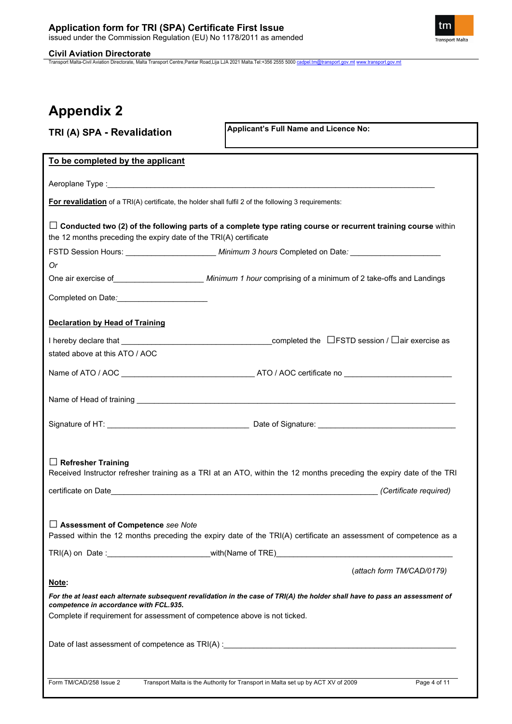**Civil Aviation Directorate**<br>Transport Malta-Civil Aviation Directorate, Malta Transport Centre,Pantar Road,Lija LJA 2021 Malta.Tel:+356 2555 5000 <u>[cadpel.tm@transport.gov.mt](mailto:cadpel.tm@transport.gov.mt) [www.transport.gov.mt](http://www.transport.gov.mt/)</u>

| TRI (A) SPA - Revalidation                                                                           | Applicant's Full Name and Licence No:                                                                                                                                                                                          |
|------------------------------------------------------------------------------------------------------|--------------------------------------------------------------------------------------------------------------------------------------------------------------------------------------------------------------------------------|
| To be completed by the applicant                                                                     |                                                                                                                                                                                                                                |
|                                                                                                      |                                                                                                                                                                                                                                |
| For revalidation of a TRI(A) certificate, the holder shall fulfil 2 of the following 3 requirements: |                                                                                                                                                                                                                                |
| the 12 months preceding the expiry date of the TRI(A) certificate                                    | $\Box$ Conducted two (2) of the following parts of a complete type rating course or recurrent training course within                                                                                                           |
|                                                                                                      |                                                                                                                                                                                                                                |
| Or                                                                                                   |                                                                                                                                                                                                                                |
|                                                                                                      | One air exercise of Communication Communication Communication Communication Communication Communication Commun                                                                                                                 |
| Completed on Date:                                                                                   |                                                                                                                                                                                                                                |
| <b>Declaration by Head of Training</b>                                                               |                                                                                                                                                                                                                                |
|                                                                                                      |                                                                                                                                                                                                                                |
| stated above at this ATO / AOC                                                                       |                                                                                                                                                                                                                                |
|                                                                                                      |                                                                                                                                                                                                                                |
|                                                                                                      |                                                                                                                                                                                                                                |
|                                                                                                      |                                                                                                                                                                                                                                |
| $\Box$ Refresher Training                                                                            | Received Instructor refresher training as a TRI at an ATO, within the 12 months preceding the expiry date of the TRI                                                                                                           |
| $\Box$ Assessment of Competence see Note                                                             | Passed within the 12 months preceding the expiry date of the TRI(A) certificate an assessment of competence as a                                                                                                               |
|                                                                                                      |                                                                                                                                                                                                                                |
| Note:                                                                                                | (attach form TM/CAD/0179)                                                                                                                                                                                                      |
| competence in accordance with FCL.935.                                                               | For the at least each alternate subsequent revalidation in the case of TRI(A) the holder shall have to pass an assessment of                                                                                                   |
| Complete if requirement for assessment of competence above is not ticked.                            |                                                                                                                                                                                                                                |
|                                                                                                      | Date of last assessment of competence as TRI(A) : Department of the control of the control of the control of the control of the control of the control of the control of the control of the control of the control of the cont |
| Form TM/CAD/258 Issue 2                                                                              | Transport Malta is the Authority for Transport in Malta set up by ACT XV of 2009<br>Page 4 of 11                                                                                                                               |

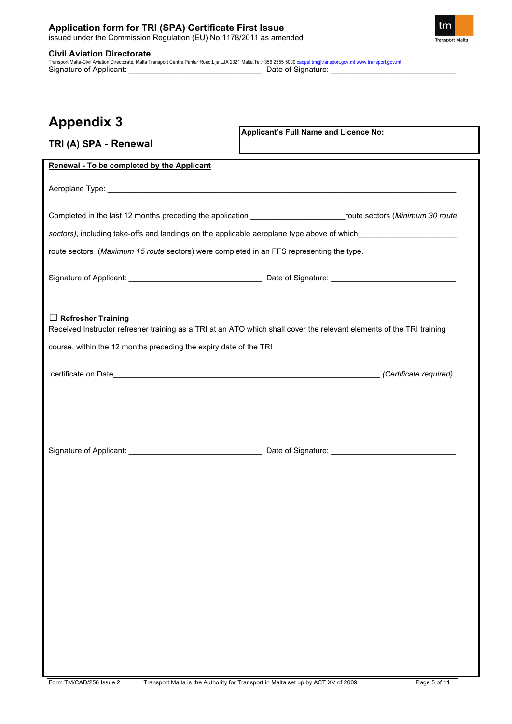

**TRI (A) SPA - Renewal**

Civil Aviation Directorate<br>Transport Malta-Civil Aviation Directorate, Malta Transport Centre,Pantar Road,Lija LJA 2021 Malta.Tel:+356 2555 5000 <u>[cadpel.tm@transport.gov.mt](mailto:cadpel.tm@transport.gov.mt)</u><br>Signature of Applicant: \_\_\_\_\_\_\_\_\_\_\_\_\_\_\_\_\_\_\_\_\_\_\_\_

## **Appendix 3**

**Applicant's Full Name and Licence No:**

| Renewal - To be completed by the Applicant                                                                                                                                                                                    |                        |
|-------------------------------------------------------------------------------------------------------------------------------------------------------------------------------------------------------------------------------|------------------------|
|                                                                                                                                                                                                                               |                        |
|                                                                                                                                                                                                                               |                        |
| Completed in the last 12 months preceding the application _____________________________route sectors (Minimum 30 route                                                                                                        |                        |
| sectors), including take-offs and landings on the applicable aeroplane type above of which____________________                                                                                                                |                        |
| route sectors (Maximum 15 route sectors) were completed in an FFS representing the type.                                                                                                                                      |                        |
|                                                                                                                                                                                                                               |                        |
|                                                                                                                                                                                                                               |                        |
|                                                                                                                                                                                                                               |                        |
| $\Box$ Refresher Training                                                                                                                                                                                                     |                        |
| Received Instructor refresher training as a TRI at an ATO which shall cover the relevant elements of the TRI training                                                                                                         |                        |
| course, within the 12 months preceding the expiry date of the TRI                                                                                                                                                             |                        |
| certificate on Date entrance and the contract of the contract of the contract of the contract of the contract of the contract of the contract of the contract of the contract of the contract of the contract of the contract | (Certificate required) |
|                                                                                                                                                                                                                               |                        |
|                                                                                                                                                                                                                               |                        |
|                                                                                                                                                                                                                               |                        |
|                                                                                                                                                                                                                               |                        |
|                                                                                                                                                                                                                               |                        |
|                                                                                                                                                                                                                               |                        |
|                                                                                                                                                                                                                               |                        |
|                                                                                                                                                                                                                               |                        |
|                                                                                                                                                                                                                               |                        |
|                                                                                                                                                                                                                               |                        |
|                                                                                                                                                                                                                               |                        |
|                                                                                                                                                                                                                               |                        |
|                                                                                                                                                                                                                               |                        |
|                                                                                                                                                                                                                               |                        |
|                                                                                                                                                                                                                               |                        |
|                                                                                                                                                                                                                               |                        |
|                                                                                                                                                                                                                               |                        |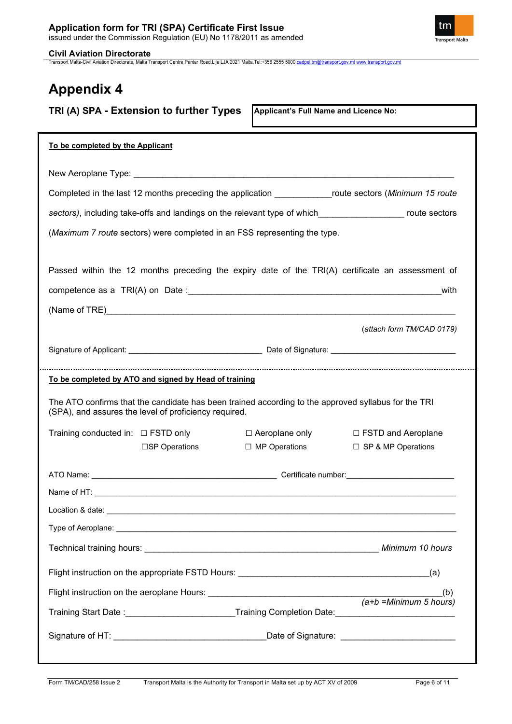

**Civil Aviation Directorate**<br>Transport Malta-Civil Aviation Directorate, Malta Transport Centre,Pantar Road,Lija LJA 2021 Malta.Tel:+356 2555 5000 <u>[cadpel.tm@transport.gov.mt](mailto:cadpel.tm@transport.gov.mt) [www.transport.gov.mt](http://www.transport.gov.mt/)</u>

| TRI (A) SPA - Extension to further Types                                                                                                                                                                                       | Applicant's Full Name and Licence No: |                                   |
|--------------------------------------------------------------------------------------------------------------------------------------------------------------------------------------------------------------------------------|---------------------------------------|-----------------------------------|
| To be completed by the Applicant                                                                                                                                                                                               |                                       |                                   |
|                                                                                                                                                                                                                                |                                       |                                   |
| Completed in the last 12 months preceding the application _______________route sectors (Minimum 15 route                                                                                                                       |                                       |                                   |
| sectors), including take-offs and landings on the relevant type of which____________________ route sectors                                                                                                                     |                                       |                                   |
| (Maximum 7 route sectors) were completed in an FSS representing the type.                                                                                                                                                      |                                       |                                   |
| Passed within the 12 months preceding the expiry date of the TRI(A) certificate an assessment of                                                                                                                               |                                       |                                   |
|                                                                                                                                                                                                                                |                                       | with                              |
| (Name of TRE) And the contract of the contract of the contract of the contract of the contract of the contract of the contract of the contract of the contract of the contract of the contract of the contract of the contract |                                       |                                   |
|                                                                                                                                                                                                                                |                                       | (attach form TM/CAD 0179)         |
|                                                                                                                                                                                                                                |                                       |                                   |
| To be completed by ATO and signed by Head of training                                                                                                                                                                          |                                       |                                   |
| The ATO confirms that the candidate has been trained according to the approved syllabus for the TRI<br>(SPA), and assures the level of proficiency required.                                                                   |                                       |                                   |
| Training conducted in: $\Box$ FSTD only                                                                                                                                                                                        | $\Box$ Aeroplane only                 | □ FSTD and Aeroplane              |
| □SP Operations                                                                                                                                                                                                                 | $\Box$ MP Operations                  | $\square$ SP & MP Operations      |
|                                                                                                                                                                                                                                |                                       |                                   |
|                                                                                                                                                                                                                                |                                       |                                   |
|                                                                                                                                                                                                                                |                                       |                                   |
|                                                                                                                                                                                                                                |                                       |                                   |
|                                                                                                                                                                                                                                |                                       |                                   |
|                                                                                                                                                                                                                                |                                       | (a)                               |
|                                                                                                                                                                                                                                |                                       | (b)<br>$(a+b)$ = Minimum 5 hours) |
| Training Start Date :___________________________Training Completion Date:__________________________                                                                                                                            |                                       |                                   |
|                                                                                                                                                                                                                                |                                       |                                   |
|                                                                                                                                                                                                                                |                                       |                                   |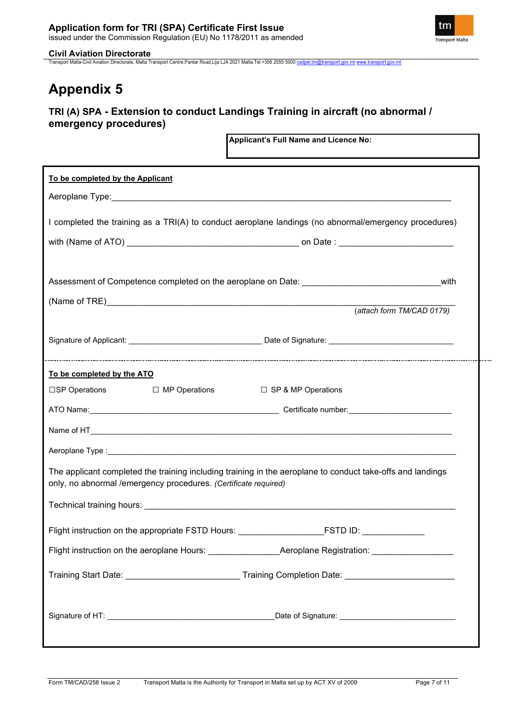

Transport Malta-Civil Aviation Directorate, Malta Transport Centre,Pantar Road,Lija LJA 2021 Malta.Tel:+356 2555 5000 [cadpel.tm@transport.gov.mt](mailto:cadpel.tm@transport.gov.mt) [www.transport.gov.mt](http://www.transport.gov.mt/)

# **Appendix 5**

### **TRI (A) SPA - Extension to conduct Landings Training in aircraft (no abnormal / emergency procedures)**

**Applicant's Full Name and Licence No:**

| reprisent 3 T an Ivanic and Licence No.<br>the control of the control of the control of the control of the control of the control of                                          |  |
|-------------------------------------------------------------------------------------------------------------------------------------------------------------------------------|--|
| To be completed by the Applicant                                                                                                                                              |  |
|                                                                                                                                                                               |  |
| I completed the training as a TRI(A) to conduct aeroplane landings (no abnormal/emergency procedures)                                                                         |  |
|                                                                                                                                                                               |  |
|                                                                                                                                                                               |  |
| Assessment of Competence completed on the aeroplane on Date: ____________________<br>with                                                                                     |  |
| (attach form TM/CAD 0179)                                                                                                                                                     |  |
|                                                                                                                                                                               |  |
|                                                                                                                                                                               |  |
|                                                                                                                                                                               |  |
| To be completed by the ATO                                                                                                                                                    |  |
| $\square$ SP Operations $\square$ MP Operations<br>□ SP & MP Operations                                                                                                       |  |
|                                                                                                                                                                               |  |
|                                                                                                                                                                               |  |
|                                                                                                                                                                               |  |
| The applicant completed the training including training in the aeroplane to conduct take-offs and landings<br>only, no abnormal /emergency procedures. (Certificate required) |  |
|                                                                                                                                                                               |  |
|                                                                                                                                                                               |  |
| Flight instruction on the appropriate FSTD Hours: _______________________________                                                                                             |  |
|                                                                                                                                                                               |  |
| Training Start Date: _____________________________Training Completion Date: _______________________                                                                           |  |
|                                                                                                                                                                               |  |
|                                                                                                                                                                               |  |

tm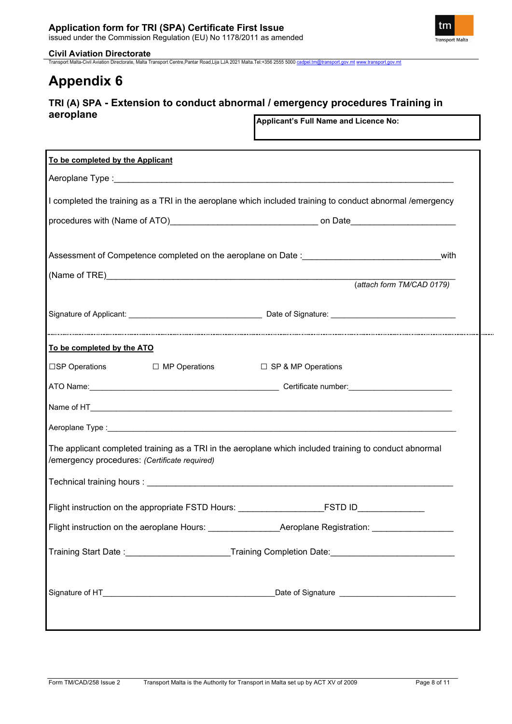tm **Transport Malta** 

Transport Malta-Civil Aviation Directorate, Malta Transport Centre,Pantar Road,Lija LJA 2021 Malta.Tel:+356 2555 5000 [cadpel.tm@transport.gov.mt](mailto:cadpel.tm@transport.gov.mt) [www.transport.gov.mt](http://www.transport.gov.mt/)

## **Appendix 6**

### **TRI (A) SPA - Extension to conduct abnormal / emergency procedures Training in aeroplane**

**Applicant's Full Name and Licence No:**

| To be completed by the Applicant                                                                                                                        |
|---------------------------------------------------------------------------------------------------------------------------------------------------------|
|                                                                                                                                                         |
| I completed the training as a TRI in the aeroplane which included training to conduct abnormal /emergency                                               |
|                                                                                                                                                         |
|                                                                                                                                                         |
|                                                                                                                                                         |
| (attach form TM/CAD 0179)                                                                                                                               |
|                                                                                                                                                         |
|                                                                                                                                                         |
|                                                                                                                                                         |
| To be completed by the ATO                                                                                                                              |
| □SP Operations<br>□ MP Operations<br>□ SP & MP Operations                                                                                               |
|                                                                                                                                                         |
|                                                                                                                                                         |
|                                                                                                                                                         |
| The applicant completed training as a TRI in the aeroplane which included training to conduct abnormal<br>/emergency procedures: (Certificate required) |
|                                                                                                                                                         |
| Flight instruction on the appropriate FSTD Hours: _______________________________                                                                       |
| Flight instruction on the aeroplane Hours: _________________Aeroplane Registration: ________________                                                    |
| Training Start Date :_________________________Training Completion Date:____________________________                                                     |
|                                                                                                                                                         |
|                                                                                                                                                         |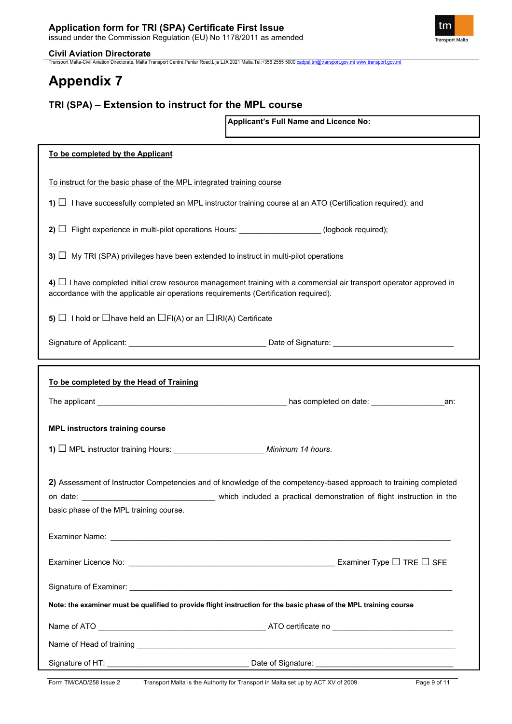

Transport Malta-Civil Aviation Directorate, Malta Transport Centre,Pantar Road,Lija LJA 2021 Malta.Tel:+356 2555 5000 [cadpel.tm@transport.gov.mt](mailto:cadpel.tm@transport.gov.mt) [www.transport.gov.mt](http://www.transport.gov.mt/)

# **Appendix 7**

### **TRI (SPA) – Extension to instruct for the MPL course**

**Applicant's Full Name and Licence No:**

| To be completed by the Applicant                                                                                                                                                                                  |
|-------------------------------------------------------------------------------------------------------------------------------------------------------------------------------------------------------------------|
| To instruct for the basic phase of the MPL integrated training course                                                                                                                                             |
| 1) $\Box$ I have successfully completed an MPL instructor training course at an ATO (Certification required); and                                                                                                 |
| 2) $\Box$ Flight experience in multi-pilot operations Hours: ________________(logbook required);                                                                                                                  |
|                                                                                                                                                                                                                   |
| 3) $\Box$ My TRI (SPA) privileges have been extended to instruct in multi-pilot operations                                                                                                                        |
| 4) $\Box$ I have completed initial crew resource management training with a commercial air transport operator approved in<br>accordance with the applicable air operations requirements (Certification required). |
| 5) $\Box$ I hold or $\Box$ have held an $\Box$ FI(A) or an $\Box$ IRI(A) Certificate                                                                                                                              |
|                                                                                                                                                                                                                   |
|                                                                                                                                                                                                                   |
| To be completed by the Head of Training                                                                                                                                                                           |
| an:                                                                                                                                                                                                               |
| <b>MPL instructors training course</b>                                                                                                                                                                            |
|                                                                                                                                                                                                                   |
| 2) Assessment of Instructor Competencies and of knowledge of the competency-based approach to training completed<br>basic phase of the MPL training course.                                                       |
|                                                                                                                                                                                                                   |
| Examiner Type $\square$ TRE $\square$ SFE                                                                                                                                                                         |
|                                                                                                                                                                                                                   |
| Note: the examiner must be qualified to provide flight instruction for the basic phase of the MPL training course                                                                                                 |
|                                                                                                                                                                                                                   |
|                                                                                                                                                                                                                   |
|                                                                                                                                                                                                                   |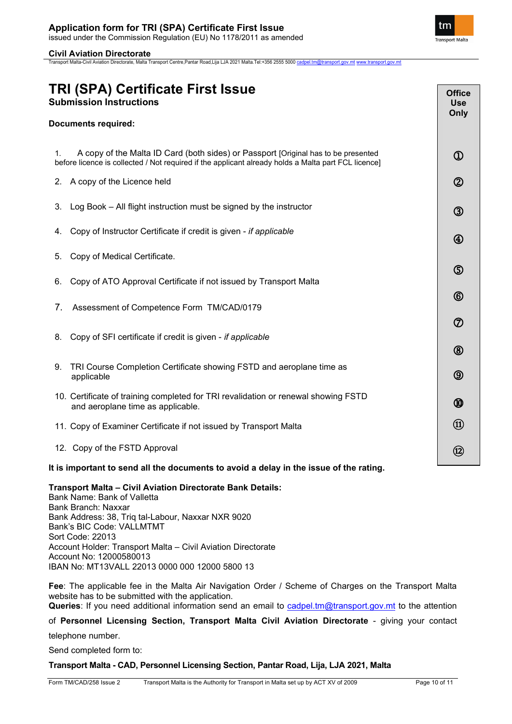Transport Malta-Civil Aviation Directorate, Malta Transport Centre,Pantar Road,Lija LJA 2021 Malta.Tel:+356 2555 5000 [cadpel.tm@transport.gov.mt](mailto:cadpel.tm@transport.gov.mt) [www.transport.gov.mt](http://www.transport.gov.mt/)

### **TRI (SPA) Certificate First Issue Submission Instructions Documents required:** 1. A copy of the Malta ID Card (both sides) or Passport [Original has to be presented before licence is collected / Not required if the applicant already holds a Malta part FCL licence] 2. A copy of the Licence held 3. Log Book – All flight instruction must be signed by the instructor 4. Copy of Instructor Certificate if credit is given - *if applicable* 5. Copy of Medical Certificate. 6. Copy of ATO Approval Certificate if not issued by Transport Malta 7. Assessment of Competence Form TM/CAD/0179 8. Copy of SFI certificate if credit is given - *if applicable* 9. TRI Course Completion Certificate showing FSTD and aeroplane time as applicable 10. Certificate of training completed for TRI revalidation or renewal showing FSTD and aeroplane time as applicable. 11. Copy of Examiner Certificate if not issued by Transport Malta 12. Copy of the FSTD Approval **It is important to send all the documents to avoid a delay in the issue of the rating. Office Use Only**  $\Omega$  $\circled{2}$  $\circled{3}$  $\circledA$ ග  $\circled6$  $\circledcirc$  $\circledR$  $\circledS$ ൘  $\textcircled{\textsc{h}}$ ⑫

**Transport Malta – Civil Aviation Directorate Bank Details:** 

Bank Name: Bank of Valletta Bank Branch: Naxxar Bank Address: 38, Triq tal-Labour, Naxxar NXR 9020 Bank's BIC Code: VALLMTMT Sort Code: 22013 Account Holder: Transport Malta – Civil Aviation Directorate Account No: 12000580013 IBAN No: MT13VALL 22013 0000 000 12000 5800 13

**Fee**: The applicable fee in the Malta Air Navigation Order / Scheme of Charges on the Transport Malta website has to be submitted with the application. Queries: If you need additional information send an email to [cadpel.tm@transport.gov.mt](mailto:cadpel.tm@transport.gov.mt) to the attention

of **Personnel Licensing Section, Transport Malta Civil Aviation Directorate** - giving your contact

telephone number.

Send completed form to:

**Transport Malta - CAD, Personnel Licensing Section, Pantar Road, Lija, LJA 2021, Malta**